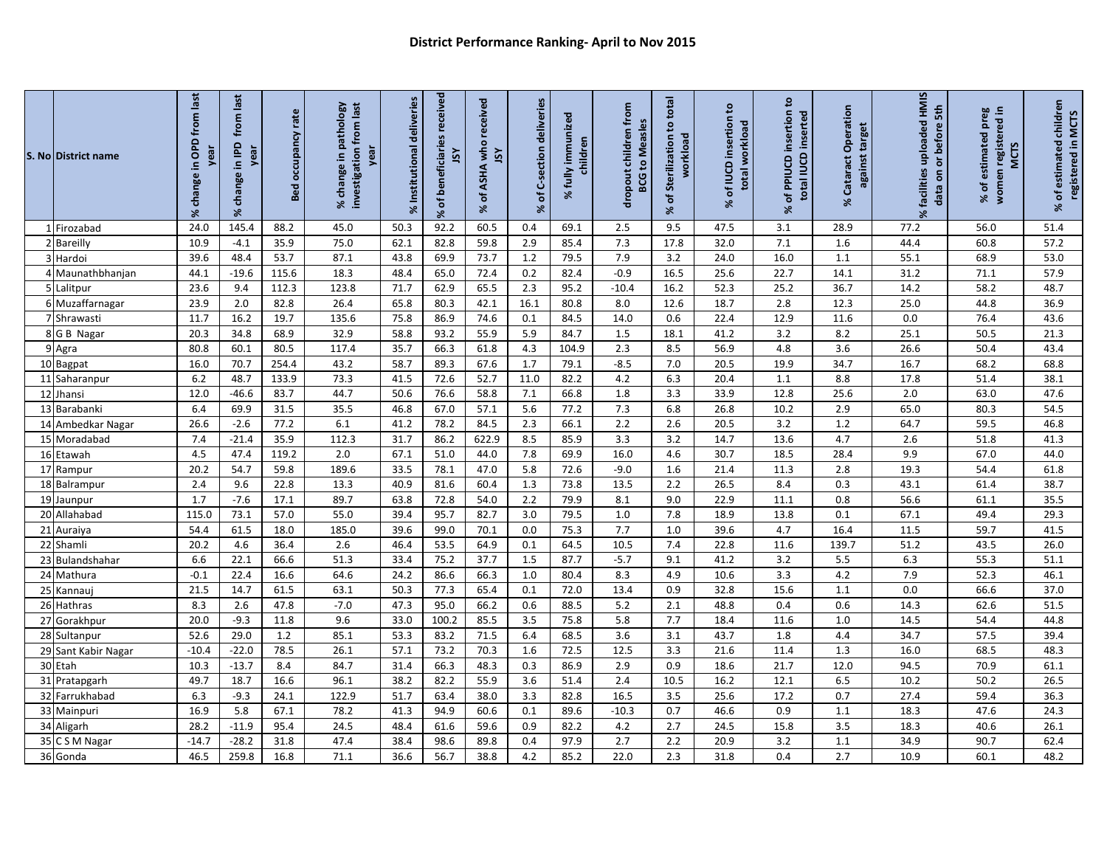|    | S. No District name | % change in OPD from last<br>year | from last<br><b>Gdl</b> ul<br>yea<br>change<br>$\aleph$ | occupancy rate<br><b>Bed</b> | pathology<br>investigation from last<br>year<br>change in<br>$\boldsymbol{\mathcal{S}}$ | % Institutional deliveries | received<br>% of beneficiaries<br>λSΓ | received<br>who<br><b>ASL</b><br><b>ASHA</b><br>đ<br>S. | of C-section deliveries<br>X. | fully immunized<br>children<br>SS. | dropout children from<br><b>BCG to Measles</b> | to total<br>of Sterilization<br>workload<br>$\aleph$ | $\tt^o$<br>of IUCD insertion<br>workload<br>total<br>$\aleph$ | ٥,<br>of PPIUCD insertion<br>total IUCD inserted<br>Se | % Cataract Operation<br>against target | % facilities uploaded HMIS<br>data on or before 5th | preg<br>red in<br>women registered<br>% of estimated<br><b>MCTS</b> | % of estimated children<br>registered in MCTS |
|----|---------------------|-----------------------------------|---------------------------------------------------------|------------------------------|-----------------------------------------------------------------------------------------|----------------------------|---------------------------------------|---------------------------------------------------------|-------------------------------|------------------------------------|------------------------------------------------|------------------------------------------------------|---------------------------------------------------------------|--------------------------------------------------------|----------------------------------------|-----------------------------------------------------|---------------------------------------------------------------------|-----------------------------------------------|
|    | 1 Firozabad         | 24.0                              | 145.4                                                   | 88.2                         | 45.0                                                                                    | 50.3                       | 92.2                                  | 60.5                                                    | 0.4                           | 69.1                               | 2.5                                            | 9.5                                                  | 47.5                                                          | 3.1                                                    | 28.9                                   | 77.2                                                | 56.0                                                                | 51.4                                          |
|    | 2 Bareilly          | 10.9                              | $-4.1$                                                  | 35.9                         | 75.0                                                                                    | 62.1                       | 82.8                                  | 59.8                                                    | 2.9                           | 85.4                               | 7.3                                            | 17.8                                                 | 32.0                                                          | 7.1                                                    | 1.6                                    | 44.4                                                | 60.8                                                                | 57.2                                          |
|    | 3 Hardoi            | 39.6                              | 48.4                                                    | 53.7                         | 87.1                                                                                    | 43.8                       | 69.9                                  | 73.7                                                    | 1.2                           | 79.5                               | 7.9                                            | 3.2                                                  | 24.0                                                          | 16.0                                                   | 1.1                                    | 55.1                                                | 68.9                                                                | 53.0                                          |
|    | 4 Maunathbhanjan    | 44.1                              | $-19.6$                                                 | 115.6                        | 18.3                                                                                    | 48.4                       | 65.0                                  | 72.4                                                    | 0.2                           | 82.4                               | $-0.9$                                         | $\overline{16.5}$                                    | 25.6                                                          | 22.7                                                   | 14.1                                   | 31.2                                                | 71.1                                                                | 57.9                                          |
|    | 5 Lalitpur          | 23.6                              | 9.4                                                     | 112.3                        | 123.8                                                                                   | 71.7                       | 62.9                                  | 65.5                                                    | 2.3                           | 95.2                               | $-10.4$                                        | 16.2                                                 | 52.3                                                          | 25.2                                                   | 36.7                                   | 14.2                                                | 58.2                                                                | 48.7                                          |
|    | 6 Muzaffarnagar     | 23.9                              | 2.0                                                     | 82.8                         | 26.4                                                                                    | 65.8                       | 80.3                                  | 42.1                                                    | 16.1                          | 80.8                               | 8.0                                            | 12.6                                                 | 18.7                                                          | 2.8                                                    | 12.3                                   | 25.0                                                | 44.8                                                                | 36.9                                          |
|    | 7 Shrawasti         | 11.7                              | 16.2                                                    | 19.7                         | 135.6                                                                                   | 75.8                       | 86.9                                  | 74.6                                                    | 0.1                           | 84.5                               | 14.0                                           | 0.6                                                  | 22.4                                                          | 12.9                                                   | 11.6                                   | 0.0                                                 | 76.4                                                                | 43.6                                          |
|    | 8 G B Nagar         | 20.3                              | 34.8                                                    | 68.9                         | 32.9                                                                                    | 58.8                       | 93.2                                  | 55.9                                                    | 5.9                           | 84.7                               | 1.5                                            | 18.1                                                 | 41.2                                                          | 3.2                                                    | 8.2                                    | 25.1                                                | 50.5                                                                | 21.3                                          |
|    | 9 Agra              | 80.8                              | 60.1                                                    | 80.5                         | 117.4                                                                                   | 35.7                       | 66.3                                  | 61.8                                                    | 4.3                           | 104.9                              | 2.3                                            | 8.5                                                  | 56.9                                                          | 4.8                                                    | 3.6                                    | 26.6                                                | 50.4                                                                | 43.4                                          |
|    | 10 Bagpat           | 16.0                              | 70.7                                                    | 254.4                        | 43.2                                                                                    | 58.7                       | 89.3                                  | 67.6                                                    | 1.7                           | 79.1                               | $-8.5$                                         | 7.0                                                  | 20.5                                                          | 19.9                                                   | 34.7                                   | 16.7                                                | 68.2                                                                | 68.8                                          |
|    | 11 Saharanpur       | 6.2                               | 48.7                                                    | 133.9                        | 73.3                                                                                    | 41.5                       | 72.6                                  | 52.7                                                    | 11.0                          | 82.2                               | 4.2                                            | 6.3                                                  | 20.4                                                          | 1.1                                                    | 8.8                                    | 17.8                                                | 51.4                                                                | 38.1                                          |
|    | 12 Jhansi           | 12.0                              | $-46.6$                                                 | 83.7                         | 44.7                                                                                    | 50.6                       | 76.6                                  | 58.8                                                    | 7.1                           | 66.8                               | 1.8                                            | 3.3                                                  | 33.9                                                          | 12.8                                                   | 25.6                                   | 2.0                                                 | 63.0                                                                | 47.6                                          |
|    | 13 Barabanki        | 6.4                               | 69.9                                                    | 31.5                         | 35.5                                                                                    | 46.8                       | 67.0                                  | 57.1                                                    | 5.6                           | 77.2                               | 7.3                                            | 6.8                                                  | 26.8                                                          | 10.2                                                   | 2.9                                    | 65.0                                                | 80.3                                                                | 54.5                                          |
|    | 14 Ambedkar Nagar   | 26.6                              | $-2.6$                                                  | 77.2                         | 6.1                                                                                     | 41.2                       | 78.2                                  | 84.5                                                    | 2.3                           | 66.1                               | 2.2                                            | 2.6                                                  | 20.5                                                          | 3.2                                                    | 1.2                                    | 64.7                                                | 59.5                                                                | 46.8                                          |
|    | 15 Moradabad        | 7.4                               | $-21.4$                                                 | 35.9                         | 112.3                                                                                   | 31.7                       | 86.2                                  | 622.9                                                   | 8.5                           | 85.9                               | 3.3                                            | 3.2                                                  | 14.7                                                          | 13.6                                                   | 4.7                                    | 2.6                                                 | 51.8                                                                | 41.3                                          |
| 16 | Etawah              | 4.5                               | 47.4                                                    | 119.2                        | 2.0                                                                                     | 67.1                       | 51.0                                  | 44.0                                                    | 7.8                           | 69.9                               | $\frac{16.0}{2}$                               | 4.6                                                  | 30.7                                                          | 18.5                                                   | 28.4                                   | 9.9                                                 | 67.0                                                                | 44.0                                          |
|    | 17 Rampur           | 20.2                              | 54.7                                                    | 59.8                         | 189.6                                                                                   | 33.5                       | 78.1                                  | 47.0                                                    | 5.8                           | 72.6                               | $-9.0$                                         | 1.6                                                  | 21.4                                                          | 11.3                                                   | 2.8                                    | 19.3                                                | 54.4                                                                | 61.8                                          |
|    | 18 Balrampur        | 2.4                               | 9.6                                                     | 22.8                         | 13.3                                                                                    | 40.9                       | 81.6                                  | 60.4                                                    | 1.3                           | 73.8                               | 13.5                                           | 2.2                                                  | 26.5                                                          | 8.4                                                    | 0.3                                    | 43.1                                                | 61.4                                                                | 38.7                                          |
|    | 19 Jaunpur          | 1.7                               | $-7.6$                                                  | 17.1                         | 89.7                                                                                    | 63.8                       | 72.8                                  | 54.0                                                    | 2.2                           | 79.9                               | 8.1                                            | 9.0                                                  | 22.9                                                          | 11.1                                                   | 0.8                                    | 56.6                                                | 61.1                                                                | 35.5                                          |
|    | 20 Allahabad        | 115.0                             | 73.1                                                    | 57.0                         | 55.0                                                                                    | 39.4                       | 95.7                                  | 82.7                                                    | 3.0                           | 79.5                               | 1.0                                            | 7.8                                                  | 18.9                                                          | 13.8                                                   | 0.1                                    | 67.1                                                | 49.4                                                                | 29.3                                          |
|    | 21 Auraiya          | 54.4                              | 61.5                                                    | 18.0                         | 185.0                                                                                   | 39.6                       | 99.0                                  | 70.1                                                    | 0.0                           | 75.3                               | 7.7                                            | 1.0                                                  | 39.6                                                          | 4.7                                                    | 16.4                                   | 11.5                                                | 59.7                                                                | 41.5                                          |
|    | 22 Shamli           | 20.2                              | 4.6                                                     | 36.4                         | 2.6                                                                                     | 46.4                       | 53.5                                  | 64.9                                                    | 0.1                           | 64.5                               | 10.5                                           | 7.4                                                  | 22.8                                                          | 11.6                                                   | 139.7                                  | 51.2                                                | 43.5                                                                | 26.0                                          |
|    | 23 Bulandshahar     | 6.6                               | 22.1                                                    | 66.6                         | 51.3                                                                                    | 33.4                       | 75.2                                  | 37.7                                                    | 1.5                           | 87.7                               | $-5.7$                                         | 9.1                                                  | 41.2                                                          | 3.2                                                    | 5.5                                    | 6.3                                                 | 55.3                                                                | 51.1                                          |
|    | 24 Mathura          | $-0.1$                            | 22.4                                                    | 16.6                         | 64.6                                                                                    | 24.2                       | 86.6                                  | 66.3                                                    | 1.0                           | 80.4                               | 8.3                                            | 4.9                                                  | 10.6                                                          | 3.3                                                    | 4.2                                    | 7.9                                                 | 52.3                                                                | 46.1                                          |
|    | 25 Kannauj          | 21.5                              | 14.7                                                    | 61.5                         | 63.1                                                                                    | 50.3                       | 77.3                                  | 65.4                                                    | 0.1                           | 72.0                               | 13.4                                           | 0.9                                                  | 32.8                                                          | 15.6                                                   | 1.1                                    | 0.0                                                 | 66.6                                                                | 37.0                                          |
|    | 26 Hathras          | 8.3                               | 2.6                                                     | 47.8                         | $-7.0$                                                                                  | 47.3                       | 95.0                                  | 66.2                                                    | 0.6                           | 88.5                               | 5.2                                            | 2.1                                                  | 48.8                                                          | 0.4                                                    | 0.6                                    | 14.3                                                | 62.6                                                                | 51.5                                          |
|    | 27 Gorakhpur        | 20.0                              | $-9.3$                                                  | 11.8                         | 9.6                                                                                     | 33.0                       | 100.2                                 | 85.5                                                    | 3.5                           | 75.8                               | 5.8                                            | 7.7                                                  | 18.4                                                          | 11.6                                                   | $1.0$                                  | 14.5                                                | 54.4                                                                | 44.8                                          |
|    | 28 Sultanpur        | 52.6                              | 29.0                                                    | 1.2                          | 85.1                                                                                    | 53.3                       | 83.2                                  | 71.5                                                    | 6.4                           | 68.5                               | 3.6                                            | 3.1                                                  | 43.7                                                          | 1.8                                                    | 4.4                                    | 34.7                                                | 57.5                                                                | 39.4                                          |
|    | 29 Sant Kabir Nagar | $-10.4$                           | $-22.0$                                                 | 78.5                         | 26.1                                                                                    | 57.1                       | 73.2                                  | 70.3                                                    | 1.6                           | 72.5                               | 12.5                                           | 3.3                                                  | 21.6                                                          | 11.4                                                   | 1.3                                    | 16.0                                                | 68.5                                                                | 48.3                                          |
|    | 30 Etah             | 10.3                              | $-13.7$                                                 | 8.4                          | 84.7                                                                                    | 31.4                       | 66.3                                  | 48.3                                                    | 0.3                           | 86.9                               | 2.9                                            | 0.9                                                  | 18.6                                                          | 21.7                                                   | 12.0                                   | 94.5                                                | 70.9                                                                | 61.1                                          |
|    | 31 Pratapgarh       | 49.7                              | 18.7                                                    | 16.6                         | 96.1                                                                                    | 38.2                       | 82.2                                  | 55.9                                                    | 3.6                           | 51.4                               | 2.4                                            | 10.5                                                 | 16.2                                                          | 12.1                                                   | 6.5                                    | 10.2                                                | 50.2                                                                | 26.5                                          |
|    | 32 Farrukhabad      | 6.3                               | $-9.3$                                                  | 24.1                         | 122.9                                                                                   | 51.7                       | 63.4                                  | 38.0                                                    | 3.3                           | 82.8                               | $\overline{16.5}$                              | 3.5                                                  | 25.6                                                          | 17.2                                                   | 0.7                                    | 27.4                                                | 59.4                                                                | 36.3                                          |
|    | 33 Mainpuri         | 16.9                              | 5.8                                                     | 67.1                         | 78.2                                                                                    | 41.3                       | 94.9                                  | 60.6                                                    | 0.1                           | 89.6                               | $-10.3$                                        | 0.7                                                  | 46.6                                                          | $\overline{0.9}$                                       | 1.1                                    | 18.3                                                | 47.6                                                                | 24.3                                          |
|    | 34 Aligarh          | 28.2                              | $-11.9$                                                 | 95.4                         | 24.5                                                                                    | 48.4                       | 61.6                                  | 59.6                                                    | 0.9                           | 82.2                               | 4.2                                            | 2.7                                                  | 24.5                                                          | 15.8                                                   | 3.5                                    | 18.3                                                | 40.6                                                                | 26.1                                          |
|    | 35 C S M Nagar      | $-14.7$                           | $-28.2$                                                 | 31.8                         | 47.4                                                                                    | 38.4                       | 98.6                                  | 89.8                                                    | 0.4                           | 97.9                               | 2.7                                            | 2.2                                                  | 20.9                                                          | 3.2                                                    | 1.1                                    | 34.9                                                | 90.7                                                                | 62.4                                          |
|    | 36 Gonda            | 46.5                              | 259.8                                                   | 16.8                         | 71.1                                                                                    | 36.6                       | 56.7                                  | 38.8                                                    | 4.2                           | 85.2                               | 22.0                                           | 2.3                                                  | 31.8                                                          | 0.4                                                    | 2.7                                    | 10.9                                                | 60.1                                                                | 48.2                                          |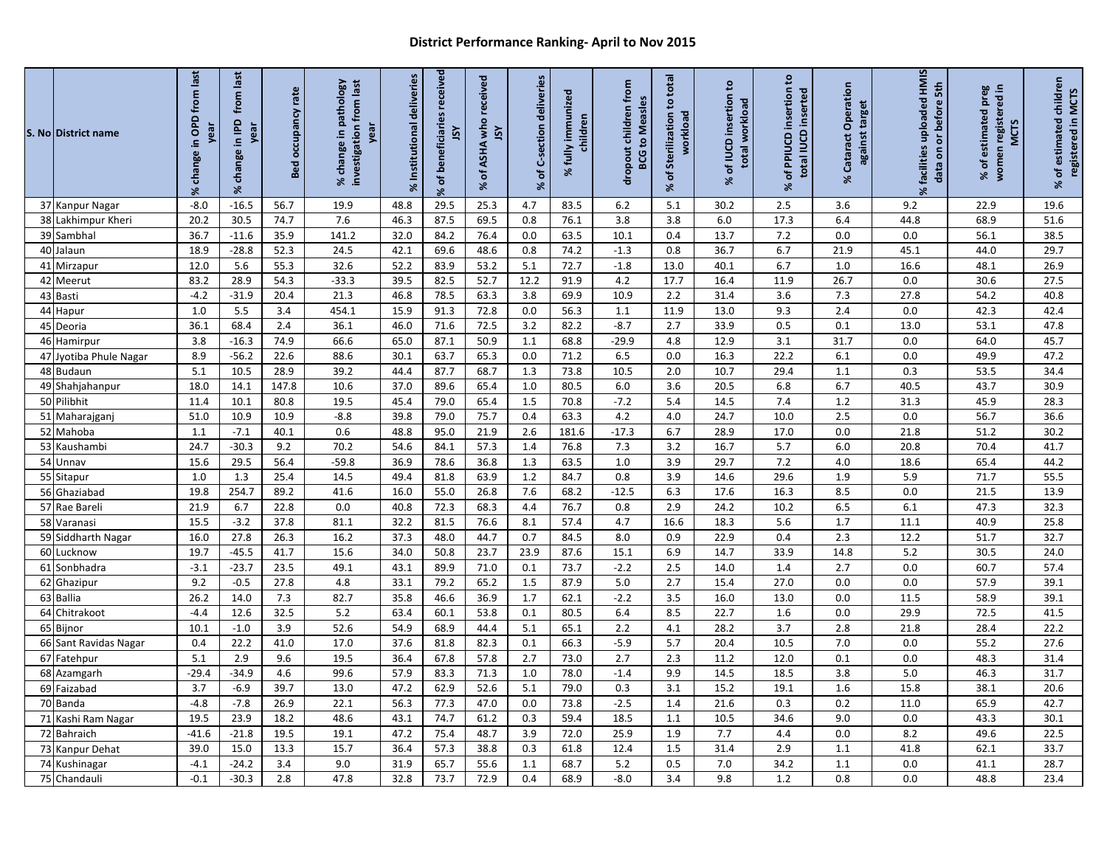## **District Performance Ranking- April to Nov 2015**

|    | S. No District name     | % change in OPD from last<br>rea | from last<br>change in IPD<br>vea<br>$\aleph$ | rate<br>occupancy<br>Bed | investigation from last<br>pathology<br>year<br>% change in | Institutional deliveries<br>X | beneficiaries received<br>šY<br>% of | received<br>ASHA who<br>ŠΥ<br>৳<br>X | of C-section deliveries<br>X | immunized<br>children<br>fully<br>$\aleph$ | dropout children from<br><b>BCG to Measles</b> | of Sterilization to total<br>workload<br>Se | $\tt{c}$<br>% of IUCD insertion<br>total workload | % of PPIUCD insertion to<br>total IUCD inserted | % Cataract Operation<br>against target | % facilities uploaded HMIS<br>data on or before 5th | registered in<br>% of estimated preg<br><b>MCTS</b><br>women | % of estimated children<br>registered in MCTS |
|----|-------------------------|----------------------------------|-----------------------------------------------|--------------------------|-------------------------------------------------------------|-------------------------------|--------------------------------------|--------------------------------------|------------------------------|--------------------------------------------|------------------------------------------------|---------------------------------------------|---------------------------------------------------|-------------------------------------------------|----------------------------------------|-----------------------------------------------------|--------------------------------------------------------------|-----------------------------------------------|
|    | 37 Kanpur Nagar         | $-8.0$                           | $-16.5$                                       | 56.7                     | 19.9                                                        | 48.8                          | 29.5                                 | 25.3                                 | 4.7                          | 83.5                                       | 6.2                                            | 5.1                                         | 30.2                                              | 2.5                                             | 3.6                                    | 9.2                                                 | 22.9                                                         | 19.6                                          |
| 38 | Lakhimpur Kheri         | 20.2                             | 30.5                                          | 74.7                     | 7.6                                                         | 46.3                          | 87.5                                 | 69.5                                 | 0.8                          | 76.1                                       | 3.8                                            | 3.8                                         | $6.0\,$                                           | 17.3                                            | 6.4                                    | 44.8                                                | 68.9                                                         | 51.6                                          |
|    | 39 Sambhal              | 36.7                             | $-11.6$                                       | 35.9                     | 141.2                                                       | 32.0                          | 84.2                                 | 76.4                                 | 0.0                          | 63.5                                       | 10.1                                           | 0.4                                         | 13.7                                              | 7.2                                             | 0.0                                    | $0.0\,$                                             | 56.1                                                         | 38.5                                          |
| 40 | Jalaun                  | 18.9                             | $-28.8$                                       | 52.3                     | 24.5                                                        | 42.1                          | 69.6                                 | 48.6                                 | 0.8                          | 74.2                                       | $-1.3$                                         | 0.8                                         | 36.7                                              | 6.7<br>6.7                                      | 21.9                                   | 45.1                                                | 44.0                                                         | 29.7                                          |
| 41 | Mirzapur<br>42 Meerut   | 12.0<br>83.2                     | 5.6<br>28.9                                   | 55.3<br>54.3             | 32.6<br>$-33.3$                                             | 52.2<br>39.5                  | 83.9<br>82.5                         | 53.2<br>52.7                         | 5.1<br>12.2                  | 72.7<br>91.9                               | $-1.8$<br>4.2                                  | 13.0<br>17.7                                | 40.1<br>16.4                                      | 11.9                                            | 1.0<br>26.7                            | 16.6<br>0.0                                         | 48.1<br>30.6                                                 | 26.9<br>27.5                                  |
|    | 43 Basti                | $-4.2$                           | $-31.9$                                       | 20.4                     | 21.3                                                        | 46.8                          | 78.5                                 | 63.3                                 | 3.8                          | 69.9                                       | 10.9                                           | 2.2                                         | 31.4                                              | 3.6                                             | 7.3                                    | 27.8                                                | 54.2                                                         | 40.8                                          |
|    | 44 Hapur                | 1.0                              | 5.5                                           | 3.4                      | 454.1                                                       | 15.9                          | 91.3                                 | 72.8                                 | $0.0\,$                      | 56.3                                       | 1.1                                            | 11.9                                        | 13.0                                              | 9.3                                             | 2.4                                    | $0.0\,$                                             | 42.3                                                         | 42.4                                          |
|    | 45 Deoria               | 36.1                             | 68.4                                          | 2.4                      | 36.1                                                        | 46.0                          | 71.6                                 | 72.5                                 | 3.2                          | 82.2                                       | $-8.7$                                         | 2.7                                         | 33.9                                              | 0.5                                             | 0.1                                    | 13.0                                                | 53.1                                                         | 47.8                                          |
|    | 46 Hamirpur             | 3.8                              | $-16.3$                                       | 74.9                     | 66.6                                                        | 65.0                          | 87.1                                 | 50.9                                 | 1.1                          | 68.8                                       | $-29.9$                                        | 4.8                                         | 12.9                                              | 3.1                                             | 31.7                                   | 0.0                                                 | 64.0                                                         | 45.7                                          |
|    | 47 Jyotiba Phule Nagar  | 8.9                              | $-56.2$                                       | 22.6                     | 88.6                                                        | 30.1                          | 63.7                                 | 65.3                                 | 0.0                          | 71.2                                       | 6.5                                            | 0.0                                         | 16.3                                              | 22.2                                            | 6.1                                    | 0.0                                                 | 49.9                                                         | 47.2                                          |
|    | 48 Budaun               | 5.1                              | 10.5                                          | 28.9                     | 39.2                                                        | 44.4                          | 87.7                                 | 68.7                                 | 1.3                          | 73.8                                       | 10.5                                           | 2.0                                         | 10.7                                              | 29.4                                            | 1.1                                    | 0.3                                                 | 53.5                                                         | 34.4                                          |
|    | 49 Shahjahanpur         | 18.0                             | 14.1                                          | 147.8                    | $\frac{10.6}{2}$                                            | 37.0                          | 89.6                                 | 65.4                                 | 1.0                          | 80.5                                       | 6.0                                            | 3.6                                         | 20.5                                              | 6.8                                             | 6.7                                    | 40.5                                                | 43.7                                                         | 30.9                                          |
| 50 | Pilibhit                | 11.4                             | 10.1                                          | 80.8                     | 19.5                                                        | 45.4                          | 79.0                                 | 65.4                                 | 1.5                          | 70.8                                       | $-7.2$                                         | 5.4                                         | 14.5                                              | 7.4                                             | 1.2                                    | 31.3                                                | 45.9                                                         | 28.3                                          |
|    | 51 Maharajganj          | 51.0                             | 10.9                                          | 10.9                     | $-8.8$                                                      | 39.8                          | 79.0                                 | 75.7                                 | 0.4                          | 63.3                                       | 4.2                                            | 4.0                                         | 24.7                                              | 10.0                                            | 2.5                                    | 0.0                                                 | 56.7                                                         | 36.6                                          |
|    | 52 Mahoba               | 1.1                              | $-7.1$                                        | 40.1                     | 0.6                                                         | 48.8                          | 95.0                                 | 21.9                                 | 2.6                          | 181.6                                      | $-17.3$                                        | 6.7                                         | 28.9                                              | 17.0                                            | 0.0                                    | 21.8                                                | 51.2                                                         | 30.2                                          |
|    | 53 Kaushambi            | 24.7                             | $-30.3$                                       | 9.2<br>56.4              | 70.2<br>$-59.8$                                             | 54.6                          | 84.1                                 | 57.3                                 | 1.4                          | 76.8                                       | 7.3<br>1.0                                     | $\overline{3.2}$<br>3.9                     | 16.7<br>29.7                                      | 5.7<br>7.2                                      | 6.0<br>4.0                             | 20.8                                                | 70.4<br>65.4                                                 | 41.7                                          |
| 54 | Unnav<br>55 Sitapur     | 15.6<br>1.0                      | 29.5<br>1.3                                   | 25.4                     | 14.5                                                        | 36.9<br>49.4                  | 78.6<br>81.8                         | 36.8<br>63.9                         | 1.3<br>1.2                   | 63.5<br>84.7                               | 0.8                                            | 3.9                                         | 14.6                                              | 29.6                                            | 1.9                                    | 18.6<br>5.9                                         | 71.7                                                         | 44.2<br>55.5                                  |
| 56 | Ghaziabad               | 19.8                             | 254.7                                         | 89.2                     | 41.6                                                        | 16.0                          | 55.0                                 | 26.8                                 | 7.6                          | 68.2                                       | $-12.5$                                        | 6.3                                         | 17.6                                              | 16.3                                            | 8.5                                    | $\overline{0.0}$                                    | 21.5                                                         | 13.9                                          |
|    | 57 Rae Bareli           | 21.9                             | 6.7                                           | 22.8                     | $0.0\,$                                                     | 40.8                          | 72.3                                 | 68.3                                 | 4.4                          | 76.7                                       | 0.8                                            | 2.9                                         | 24.2                                              | 10.2                                            | 6.5                                    | 6.1                                                 | 47.3                                                         | 32.3                                          |
|    | 58 Varanasi             | 15.5                             | $-3.2$                                        | 37.8                     | 81.1                                                        | 32.2                          | 81.5                                 | 76.6                                 | 8.1                          | 57.4                                       | 4.7                                            | 16.6                                        | 18.3                                              | 5.6                                             | 1.7                                    | 11.1                                                | 40.9                                                         | 25.8                                          |
|    | 59 Siddharth Nagar      | 16.0                             | 27.8                                          | 26.3                     | 16.2                                                        | 37.3                          | 48.0                                 | 44.7                                 | 0.7                          | 84.5                                       | $8.0\,$                                        | 0.9                                         | 22.9                                              | 0.4                                             | 2.3                                    | 12.2                                                | 51.7                                                         | 32.7                                          |
| 60 | Lucknow                 | 19.7                             | $-45.5$                                       | 41.7                     | 15.6                                                        | 34.0                          | 50.8                                 | 23.7                                 | 23.9                         | 87.6                                       | 15.1                                           | 6.9                                         | 14.7                                              | 33.9                                            | 14.8                                   | 5.2                                                 | 30.5                                                         | 24.0                                          |
|    | 61 Sonbhadra            | $-3.1$                           | $-23.7$                                       | 23.5                     | 49.1                                                        | 43.1                          | 89.9                                 | 71.0                                 | 0.1                          | 73.7                                       | $-2.2$                                         | 2.5                                         | 14.0                                              | 1.4                                             | 2.7                                    | 0.0                                                 | 60.7                                                         | 57.4                                          |
|    | 62 Ghazipur             | 9.2                              | $-0.5$                                        | 27.8                     | 4.8                                                         | 33.1                          | 79.2                                 | 65.2                                 | 1.5                          | 87.9                                       | $5.0$                                          | 2.7                                         | 15.4                                              | 27.0                                            | 0.0                                    | $0.0\,$                                             | 57.9                                                         | 39.1                                          |
|    | 63 Ballia               | 26.2                             | 14.0                                          | 7.3                      | 82.7                                                        | 35.8                          | 46.6                                 | 36.9                                 | 1.7                          | 62.1                                       | $-2.2$                                         | 3.5                                         | 16.0                                              | 13.0                                            | 0.0                                    | 11.5                                                | 58.9                                                         | 39.1                                          |
| 64 | Chitrakoot              | $-4.4$                           | 12.6                                          | 32.5                     | 5.2                                                         | 63.4                          | 60.1                                 | 53.8                                 | $\overline{0.1}$             | 80.5                                       | 6.4                                            | 8.5                                         | 22.7                                              | 1.6                                             | 0.0                                    | 29.9                                                | 72.5                                                         | 41.5                                          |
|    | 65 Bijnor               | 10.1                             | $-1.0$                                        | 3.9                      | 52.6                                                        | 54.9                          | 68.9                                 | 44.4                                 | 5.1                          | 65.1                                       | 2.2                                            | 4.1                                         | 28.2                                              | 3.7                                             | 2.8                                    | 21.8                                                | 28.4                                                         | 22.2                                          |
|    | 66 Sant Ravidas Nagar   | 0.4                              | 22.2                                          | 41.0                     | 17.0<br>19.5                                                | 37.6                          | 81.8                                 | 82.3                                 | 0.1                          | 66.3                                       | $-5.9$<br>$2.7$                                | 5.7                                         | 20.4                                              | 10.5                                            | 7.0                                    | $0.0\,$                                             | 55.2<br>48.3                                                 | 27.6                                          |
|    | 67 Fatehpur             | 5.1<br>$-29.4$                   | 2.9<br>$-34.9$                                | 9.6<br>4.6               | 99.6                                                        | 36.4<br>57.9                  | 67.8<br>83.3                         | 57.8<br>71.3                         | 2.7<br>1.0                   | 73.0<br>78.0                               | $-1.4$                                         | 2.3<br>9.9                                  | 11.2<br>14.5                                      | 12.0<br>18.5                                    | 0.1<br>3.8                             | $0.0\,$<br>5.0                                      | 46.3                                                         | 31.4<br>31.7                                  |
| 69 | 68 Azamgarh<br>Faizabad | 3.7                              | $-6.9$                                        | 39.7                     | 13.0                                                        | 47.2                          | 62.9                                 | 52.6                                 | 5.1                          | 79.0                                       | 0.3                                            | 3.1                                         | 15.2                                              | 19.1                                            | 1.6                                    | 15.8                                                | 38.1                                                         | 20.6                                          |
|    | 70 Banda                | $-4.8$                           | $-7.8$                                        | 26.9                     | 22.1                                                        | 56.3                          | 77.3                                 | 47.0                                 | 0.0                          | 73.8                                       | $-2.5$                                         | 1.4                                         | 21.6                                              | 0.3                                             | 0.2                                    | $11.0\,$                                            | 65.9                                                         | 42.7                                          |
|    | 71 Kashi Ram Nagar      | 19.5                             | 23.9                                          | 18.2                     | 48.6                                                        | 43.1                          | 74.7                                 | 61.2                                 | 0.3                          | 59.4                                       | 18.5                                           | 1.1                                         | 10.5                                              | 34.6                                            | 9.0                                    | 0.0                                                 | 43.3                                                         | 30.1                                          |
|    | 72 Bahraich             | $-41.6$                          | $-21.8$                                       | 19.5                     | 19.1                                                        | 47.2                          | 75.4                                 | 48.7                                 | 3.9                          | 72.0                                       | 25.9                                           | 1.9                                         | 7.7                                               | 4.4                                             | 0.0                                    | 8.2                                                 | 49.6                                                         | 22.5                                          |
| 73 | Kanpur Dehat            | 39.0                             | $\frac{15.0}{2}$                              | 13.3                     | 15.7                                                        | 36.4                          | 57.3                                 | 38.8                                 | $\overline{0.3}$             | 61.8                                       | 12.4                                           | 1.5                                         | 31.4                                              | 2.9                                             | 1.1                                    | 41.8                                                | 62.1                                                         | 33.7                                          |
|    | 74 Kushinagar           | $-4.1$                           | $-24.2$                                       | 3.4                      | 9.0                                                         | 31.9                          | 65.7                                 | 55.6                                 | 1.1                          | 68.7                                       | 5.2                                            | 0.5                                         | 7.0                                               | 34.2                                            | 1.1                                    | 0.0                                                 | 41.1                                                         | 28.7                                          |
|    | 75 Chandauli            | $-0.1$                           | $-30.3$                                       | 2.8                      | 47.8                                                        | 32.8                          | 73.7                                 | 72.9                                 | 0.4                          | 68.9                                       | $-8.0$                                         | 3.4                                         | 9.8                                               | 1.2                                             | 0.8                                    | 0.0                                                 | 48.8                                                         | 23.4                                          |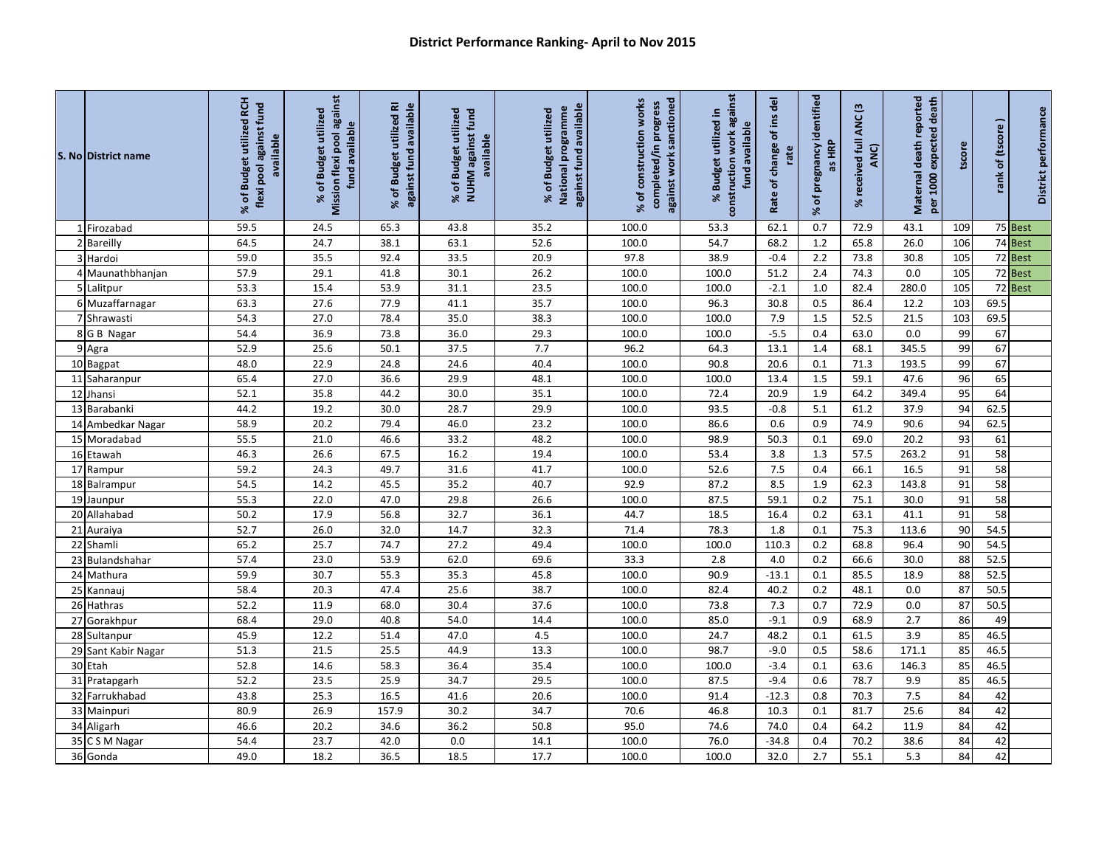| S. No District name | % of Budget utilized RCH<br>flexi pool against fund<br>available | Mission flexi pool against<br>% of Budget utilized<br>fund available | % of Budget utilized RI<br>against fund available | % of Budget utilized<br>NUHM against fund<br>available | against fund available<br>National programme<br>% of Budget utilized | % of construction works<br>against work sanctioned<br>completed/in progress | construction work against<br>% Budget utilized in<br>available<br>fund | of ins del<br>change<br>rate<br>Rate of | pregnancy identified<br>as HRP<br>۴<br>X. | received full ANC (3<br>ANC)<br>$\aleph$ | Maternal death reported<br>per 1000 expected death | tscore | of (tscore<br>rank | District performance |
|---------------------|------------------------------------------------------------------|----------------------------------------------------------------------|---------------------------------------------------|--------------------------------------------------------|----------------------------------------------------------------------|-----------------------------------------------------------------------------|------------------------------------------------------------------------|-----------------------------------------|-------------------------------------------|------------------------------------------|----------------------------------------------------|--------|--------------------|----------------------|
| 1 Firozabad         | 59.5                                                             | 24.5                                                                 | 65.3                                              | 43.8                                                   | 35.2                                                                 | 100.0                                                                       | 53.3                                                                   | 62.1                                    | 0.7                                       | 72.9                                     | 43.1                                               | 109    |                    | 75 Best              |
| 2 Bareilly          | 64.5                                                             | 24.7                                                                 | 38.1                                              | 63.1                                                   | 52.6                                                                 | 100.0                                                                       | 54.7                                                                   | 68.2                                    | 1.2                                       | 65.8                                     | 26.0                                               | 106    |                    | 74 Best              |
| 3 Hardoi            | 59.0                                                             | 35.5                                                                 | 92.4                                              | 33.5                                                   | 20.9                                                                 | 97.8                                                                        | 38.9                                                                   | $-0.4$                                  | 2.2                                       | 73.8                                     | 30.8                                               | 105    |                    | 72 Best              |
| 4 Maunathbhanjan    | 57.9                                                             | 29.1                                                                 | 41.8                                              | 30.1                                                   | 26.2                                                                 | 100.0                                                                       | 100.0                                                                  | 51.2                                    | 2.4                                       | 74.3                                     | 0.0                                                | 105    |                    | 72 Best              |
| 5 Lalitpur          | 53.3                                                             | 15.4                                                                 | 53.9                                              | 31.1                                                   | 23.5                                                                 | 100.0                                                                       | 100.0                                                                  | $-2.1$                                  | 1.0                                       | 82.4                                     | 280.0                                              | 105    |                    | 72 Best              |
| 6 Muzaffarnagar     | 63.3                                                             | 27.6                                                                 | 77.9                                              | 41.1                                                   | 35.7                                                                 | 100.0                                                                       | 96.3                                                                   | 30.8                                    | $0.5\,$                                   | 86.4                                     | 12.2                                               | 103    | 69.5               |                      |
| 7 Shrawasti         | 54.3                                                             | 27.0                                                                 | 78.4                                              | 35.0                                                   | 38.3                                                                 | 100.0                                                                       | 100.0                                                                  | 7.9                                     | 1.5                                       | 52.5                                     | 21.5                                               | 103    | 69.5               |                      |
| 8 G B Nagar         | 54.4                                                             | 36.9                                                                 | 73.8                                              | 36.0                                                   | 29.3                                                                 | 100.0                                                                       | 100.0                                                                  | $-5.5$                                  | 0.4                                       | 63.0                                     | 0.0                                                | 99     | 67                 |                      |
| 9 Agra              | 52.9                                                             | 25.6                                                                 | 50.1                                              | 37.5                                                   | 7.7                                                                  | 96.2                                                                        | 64.3                                                                   | 13.1                                    | 1.4                                       | 68.1                                     | 345.5                                              | 99     | 67                 |                      |
| 10 Bagpat           | 48.0                                                             | 22.9                                                                 | 24.8                                              | 24.6                                                   | 40.4                                                                 | 100.0                                                                       | 90.8                                                                   | 20.6                                    | 0.1                                       | 71.3                                     | 193.5                                              | 99     | 67                 |                      |
| 11 Saharanpur       | 65.4                                                             | 27.0                                                                 | 36.6                                              | 29.9                                                   | 48.1                                                                 | 100.0                                                                       | 100.0                                                                  | 13.4                                    | 1.5                                       | 59.1                                     | 47.6                                               | 96     | 65                 |                      |
| 12 Jhansi           | 52.1                                                             | 35.8                                                                 | 44.2                                              | 30.0                                                   | 35.1                                                                 | 100.0                                                                       | 72.4                                                                   | 20.9                                    | 1.9                                       | 64.2                                     | 349.4                                              | 95     | 64                 |                      |
| 13 Barabanki        | 44.2                                                             | 19.2                                                                 | 30.0                                              | 28.7                                                   | 29.9                                                                 | 100.0                                                                       | 93.5                                                                   | $-0.8$                                  | 5.1                                       | 61.2                                     | 37.9                                               | 94     | 62.5               |                      |
| 14 Ambedkar Nagar   | 58.9                                                             | 20.2                                                                 | 79.4                                              | 46.0                                                   | 23.2                                                                 | 100.0                                                                       | 86.6                                                                   | 0.6                                     | 0.9                                       | 74.9                                     | 90.6                                               | 94     | 62.5               |                      |
| 15 Moradabad        | 55.5                                                             | 21.0                                                                 | 46.6                                              | 33.2                                                   | 48.2                                                                 | 100.0                                                                       | 98.9                                                                   | 50.3                                    | 0.1                                       | 69.0                                     | 20.2                                               | 93     | 61                 |                      |
| 16 Etawah           | 46.3                                                             | 26.6                                                                 | 67.5                                              | 16.2                                                   | 19.4                                                                 | 100.0                                                                       | 53.4                                                                   | 3.8                                     | 1.3                                       | 57.5                                     | 263.2                                              | 91     | 58                 |                      |
| 17 Rampur           | 59.2                                                             | 24.3                                                                 | 49.7                                              | 31.6                                                   | 41.7                                                                 | 100.0                                                                       | 52.6                                                                   | 7.5                                     | 0.4                                       | 66.1                                     | 16.5                                               | 91     | 58                 |                      |
| 18 Balrampur        | 54.5                                                             | 14.2                                                                 | 45.5                                              | 35.2                                                   | 40.7                                                                 | 92.9                                                                        | 87.2                                                                   | 8.5                                     | 1.9                                       | 62.3                                     | 143.8                                              | 91     | 58                 |                      |
| 19 Jaunpur          | 55.3                                                             | 22.0                                                                 | 47.0                                              | 29.8                                                   | 26.6                                                                 | 100.0                                                                       | 87.5                                                                   | 59.1                                    | 0.2                                       | 75.1                                     | 30.0                                               | 91     | 58                 |                      |
| 20 Allahabad        | 50.2                                                             | 17.9                                                                 | 56.8                                              | 32.7                                                   | 36.1                                                                 | 44.7                                                                        | 18.5                                                                   | 16.4                                    | 0.2                                       | 63.1                                     | 41.1                                               | 91     | 58                 |                      |
| 21 Auraiya          | 52.7                                                             | 26.0                                                                 | 32.0                                              | 14.7                                                   | 32.3                                                                 | 71.4                                                                        | 78.3                                                                   | 1.8                                     | 0.1                                       | 75.3                                     | 113.6                                              | 90     | 54.5               |                      |
| 22 Shamli           | 65.2                                                             | 25.7                                                                 | 74.7                                              | 27.2                                                   | 49.4                                                                 | 100.0                                                                       | 100.0                                                                  | 110.3                                   | 0.2                                       | 68.8                                     | 96.4                                               | 90     | 54.5               |                      |
| 23 Bulandshahar     | 57.4                                                             | 23.0                                                                 | 53.9                                              | 62.0                                                   | 69.6                                                                 | 33.3                                                                        | 2.8                                                                    | 4.0                                     | 0.2                                       | 66.6                                     | 30.0                                               | 88     | 52.5               |                      |
| 24 Mathura          | 59.9                                                             | 30.7                                                                 | 55.3                                              | 35.3                                                   | 45.8                                                                 | 100.0                                                                       | 90.9                                                                   | $-13.1$                                 | 0.1                                       | 85.5                                     | 18.9                                               | 88     | 52.5               |                      |
| 25 Kannauj          | 58.4                                                             | 20.3                                                                 | 47.4                                              | 25.6                                                   | 38.7                                                                 | 100.0                                                                       | 82.4                                                                   | 40.2                                    | 0.2                                       | 48.1                                     | 0.0                                                | 87     | 50.5               |                      |
| 26 Hathras          | 52.2                                                             | 11.9                                                                 | 68.0                                              | 30.4                                                   | 37.6                                                                 | 100.0                                                                       | 73.8                                                                   | 7.3                                     | 0.7                                       | 72.9                                     | 0.0                                                | 87     | 50.5               |                      |
| 27 Gorakhpur        | 68.4                                                             | 29.0                                                                 | 40.8                                              | 54.0                                                   | 14.4                                                                 | 100.0                                                                       | 85.0                                                                   | $-9.1$                                  | 0.9                                       | 68.9                                     | 2.7                                                | 86     | 49                 |                      |
| 28 Sultanpur        | 45.9                                                             | 12.2                                                                 | 51.4                                              | 47.0                                                   | 4.5                                                                  | 100.0                                                                       | 24.7                                                                   | 48.2                                    | 0.1                                       | 61.5                                     | 3.9                                                | 85     | 46.5               |                      |
| 29 Sant Kabir Nagar | 51.3                                                             | 21.5                                                                 | 25.5                                              | 44.9                                                   | 13.3                                                                 | 100.0                                                                       | 98.7                                                                   | $-9.0$                                  | 0.5                                       | 58.6                                     | 171.1                                              | 85     | 46.5               |                      |
| 30 Etah             | 52.8                                                             | 14.6                                                                 | 58.3                                              | 36.4                                                   | 35.4                                                                 | 100.0                                                                       | 100.0                                                                  | $-3.4$                                  | 0.1                                       | 63.6                                     | 146.3                                              | 85     | 46.5               |                      |
| 31 Pratapgarh       | 52.2                                                             | 23.5                                                                 | 25.9                                              | 34.7                                                   | 29.5                                                                 | 100.0                                                                       | 87.5                                                                   | $-9.4$                                  | 0.6                                       | 78.7                                     | 9.9                                                | 85     | 46.5               |                      |
| 32 Farrukhabad      | 43.8                                                             | 25.3                                                                 | 16.5                                              | 41.6                                                   | 20.6                                                                 | 100.0                                                                       | 91.4                                                                   | $-12.3$                                 | 0.8                                       | 70.3                                     | 7.5                                                | 84     | 42                 |                      |
| 33 Mainpuri         | 80.9                                                             | 26.9                                                                 | 157.9                                             | 30.2                                                   | 34.7                                                                 | 70.6                                                                        | 46.8                                                                   | 10.3                                    | 0.1                                       | 81.7                                     | 25.6                                               | 84     | 42                 |                      |
| 34 Aligarh          | 46.6                                                             | 20.2                                                                 | 34.6                                              | 36.2                                                   | 50.8                                                                 | 95.0                                                                        | 74.6                                                                   | 74.0                                    | 0.4                                       | 64.2                                     | 11.9                                               | 84     | 42                 |                      |
| 35 CSM Nagar        | 54.4                                                             | 23.7                                                                 | 42.0                                              | 0.0                                                    | 14.1                                                                 | 100.0                                                                       | 76.0                                                                   | $-34.8$                                 | 0.4                                       | 70.2                                     | 38.6                                               | 84     | 42                 |                      |
| 36 Gonda            | 49.0                                                             | 18.2                                                                 | 36.5                                              | 18.5                                                   | 17.7                                                                 | 100.0                                                                       | 100.0                                                                  | 32.0                                    | 2.7                                       | 55.1                                     | 5.3                                                | 84     | 42                 |                      |